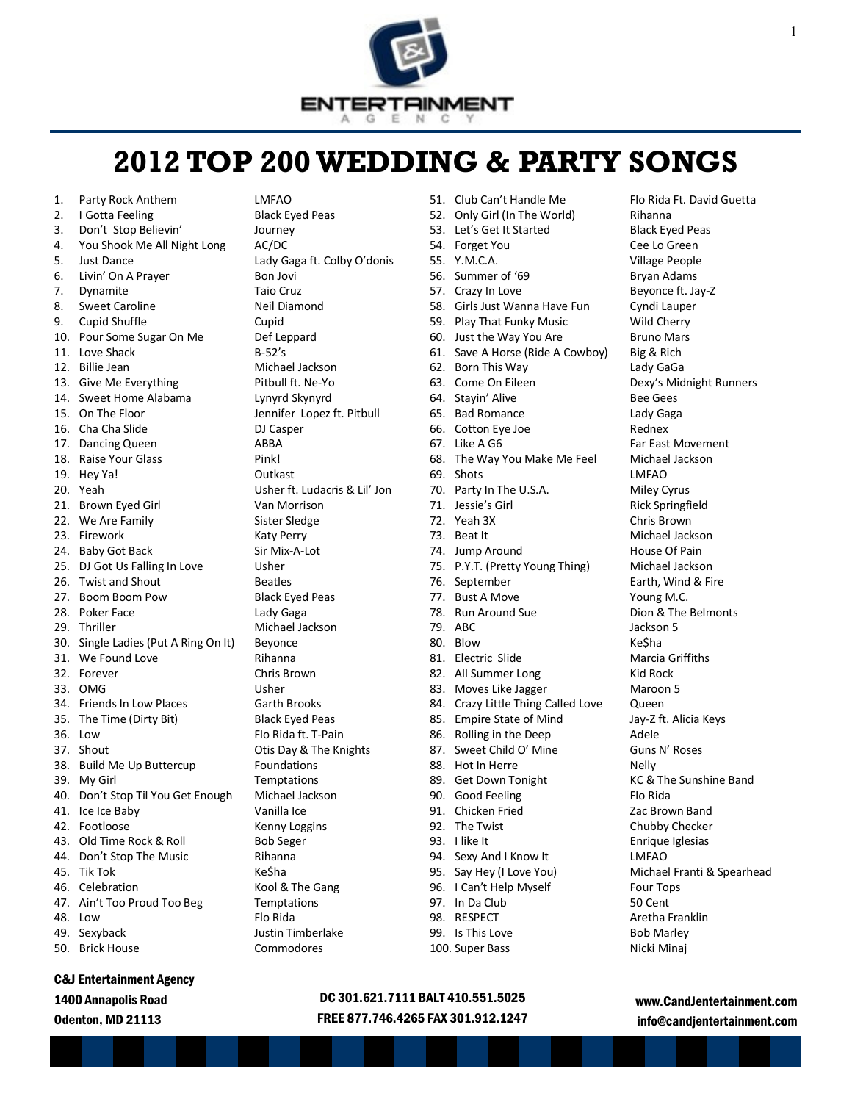

# **2012 TOP 200 WEDDING & PARTY SONGS**

| 1.  | Party Rock Anthem                | LMFAO          |
|-----|----------------------------------|----------------|
| 2.  | I Gotta Feeling                  | Black Ey       |
| 3.  | Don't Stop Believin'             | Journey        |
| 4.  | You Shook Me All Night Long      | AC/DC          |
| 5.  | <b>Just Dance</b>                | Lady Ga        |
| 6.  | Livin' On A Prayer               | <b>Bon Jov</b> |
| 7.  | Dynamite                         | Taio Cru       |
| 8.  | <b>Sweet Caroline</b>            | Neil Dia       |
| 9.  | <b>Cupid Shuffle</b>             | Cupid          |
|     | 10. Pour Some Sugar On Me        | Def Lep        |
| 11. | Love Shack                       | $B-52's$       |
| 12. | <b>Billie Jean</b>               | Michae         |
| 13. | Give Me Everything               | Pitbull f      |
| 14. | Sweet Home Alabama               | Lynyrd         |
|     | 15. On The Floor                 | Jennifer       |
| 16. | Cha Cha Slide                    | DJ Casp        |
| 17. | Dancing Queen                    | ABBA           |
| 18. | Raise Your Glass                 | Pink!          |
| 19. | Hey Ya!                          | Outkast        |
| 20. | Yeah                             | Usher f        |
| 21. | Brown Eyed Girl                  | Van Mo         |
| 22. | We Are Family                    | Sister S       |
| 23. | Firework                         | Katy Pe        |
| 24. | <b>Baby Got Back</b>             | Sir Mix-       |
| 25. | DJ Got Us Falling In Love        | Usher          |
| 26. | <b>Twist and Shout</b>           | <b>Beatles</b> |
| 27. | <b>Boom Boom Pow</b>             | Black Ey       |
| 28. | Poker Face                       | Lady Ga        |
| 29. | Thriller                         | Michae         |
| 30. | Single Ladies (Put A Ring On It) | Beyonc         |
| 31. | We Found Love                    | Rihanna        |
| 32. | Forever                          | Chris Br       |
| 33. | OMG                              | Usher          |
| 34. | <b>Friends In Low Places</b>     | Garth B        |
| 35. | The Time (Dirty Bit)             | Black Ey       |
| 36. | Low                              | Flo Rida       |
| 37. | Shout                            | Otis Day       |
|     | 38. Build Me Up Buttercup        | Founda         |
|     | 39. My Girl                      | Tempta         |
| 40. | Don't Stop Til You Get Enough    | Michae         |
| 41. | Ice Ice Baby                     | Vanilla I      |
| 42. | Footloose                        | Kenny L        |
| 43. | Old Time Rock & Roll             | <b>Bob Seg</b> |
| 44. | Don't Stop The Music             | Rihanna        |
| 45. | <b>Tik Tok</b>                   | Ke\$ha         |
| 46. | Celebration                      | Kool &         |
| 47. | Ain't Too Proud Too Beg          | Tempta         |
| 48. | Low                              | Flo Rida       |
| 49. | Sexyback                         | Justin T       |
| 50. | <b>Brick House</b>               | Commo          |

# C&J Entertainment Agency

1400 Annapolis Road

Odenton, MD 21113

Black Eyed Peas Journey ong AC/DC Lady Gaga ft. Colby O'donis Bon Jovi Taio Cruz Neil Diamond Cupid Def Leppard  $B-52's$ Michael Jackson Pitbull ft. Ne-Yo Lynyrd Skynyrd Jennifer Lopez ft. Pitbull DJ Casper ABBA Pink! **Outkast** Usher ft. Ludacris & Lil' Jon Van Morrison Sister Sledge Katy Perry Sir Mix-A-Lot Usher **Beatles** Black Eyed Peas Lady Gaga Michael Jackson On It) Beyonce Rihanna Chris Brown Usher Garth Brooks Black Eyed Peas Flo Rida ft. T-Pain Otis Day & The Knights **Foundations Temptations** ough Michael Jackson Vanilla Ice Kenny Loggins Bob Seger Rihanna Ke\$ha Kool & The Gang Temptations Flo Rida **Justin Timberlake Commodores** 

- 51. Club Can't Handle Me Flo Rida Ft. David Guetta 52. Only Girl (In The World) Rihanna 53. Let's Get It Started Black Eyed Peas 54. Forget You Cee Lo Green 55. Y.M.C.A. Village People 56. Summer of '69 Bryan Adams 57. Crazy In Love Beyonce ft. Jay-Z 58. Girls Just Wanna Have Fun Cyndi Lauper 59. Play That Funky Music Wild Cherry 60. Just the Way You Are **Bruno Mars** 61. Save A Horse (Ride A Cowboy) Big & Rich 62. Born This Way Lady GaGa 63. Come On Eileen Dexy's Midnight Runners 64. Stayin' Alive **Bee Gees** 65. Bad Romance Lady Gaga 66. Cotton Eye Joe **Rednex** 67. Like A G6 Far East Movement 68. The Way You Make Me Feel Michael Jackson 69. Shots LMFAO 70. Party In The U.S.A. Miley Cyrus 71. Jessie's Girl **Rick Springfield** 72. Yeah 3X Chris Brown 73. Beat It Michael Jackson 74. Jump Around House Of Pain 75. P.Y.T. (Pretty Young Thing) Michael Jackson 76. September Earth, Wind & Fire 77. Bust A Move Young M.C. 78. Run Around Sue **Dion & The Belmonts** 79 ABC Jackson 5 80. Blow Ke\$ha 81. Electric Slide Marcia Griffiths 82. All Summer Long Kid Rock 83. Moves Like Jagger Maroon 5 84. Crazy Little Thing Called Love Queen 85. Empire State of Mind Jay-Z ft. Alicia Keys 86. Rolling in the Deep Adele 87. Sweet Child O' Mine Guns N' Roses 88. Hot In Herre Nelly 89. Get Down Tonight KC & The Sunshine Band 90. Good Feeling Flo Rida 91. Chicken Fried Zac Brown Band 92. The Twist Chubby Checker 93. I like It **Enrique Iglesias** 94. Sexy And I Know It LMFAO 95. Say Hey (I Love You) Michael Franti & Spearhead 96. I Can't Help Myself Four Tops 97. In Da Club 50 Cent 98. RESPECT Aretha Franklin 99. Is This Love Bob Marley
- 100. Super Bass Nicki Minaj

# DC 301.621.7111 BALT 410.551.5025 FREE 877.746.4265 FAX 301.912.1247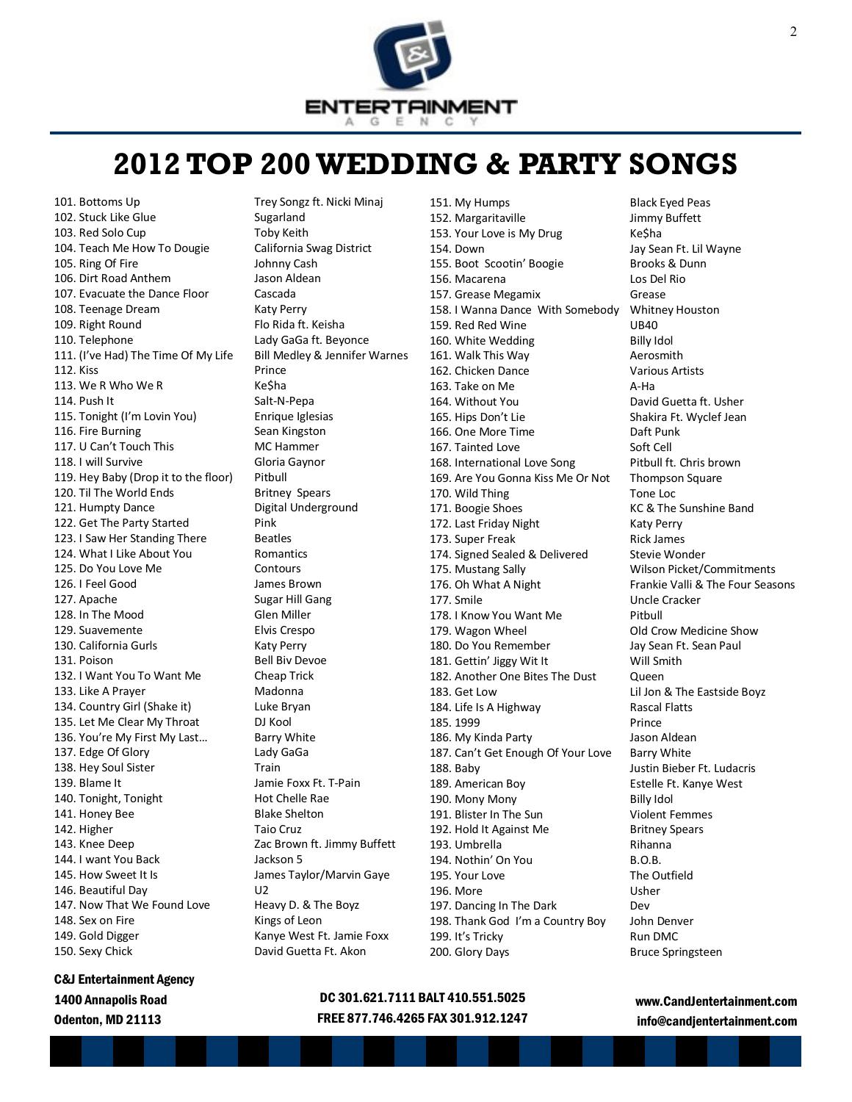

# **2012 TOP 200 WEDDING & PARTY SONGS**

101. Bottoms Up Trey Songz ft. Nicki Minaj 102. Stuck Like Glue Sugarland 103. Red Solo Cup Toby Keith 104. Teach Me How To Dougie California Swag District 105. Ring Of Fire **Johnny Cash** 106. Dirt Road Anthem Jason Aldean 107. Evacuate the Dance Floor Cascada 108. Teenage Dream Katy Perry 109. Right Round Flo Rida ft. Keisha 110. Telephone Lady GaGa ft. Beyonce 111. (I've Had) The Time Of My Life Bill Medley & Jennifer Warnes 112. Kiss Prince 113. We R Who We R Ke\$ha 114. Push It Salt-N-Pepa 115. Tonight (I'm Lovin You) Enrique Iglesias 116. Fire Burning Sean Kingston 117. U Can't Touch This MC Hammer 118. I will Survive Gloria Gaynor 119. Hey Baby (Drop it to the floor) Pitbull 120. Til The World Ends Britney Spears 121. Humpty Dance Digital Underground 122. Get The Party Started Pink 123. I Saw Her Standing There Beatles 124. What I Like About You Romantics 125. Do You Love Me Contours 126. I Feel Good James Brown 127. Apache Sugar Hill Gang 128. In The Mood Glen Miller 129. Suavemente Elvis Crespo 130. California Gurls Katy Perry 131. Poison Bell Biv Devoe 132. I Want You To Want Me Cheap Trick 133. Like A Prayer Madonna 134. Country Girl (Shake it) Luke Bryan 135. Let Me Clear My Throat DJ Kool 136. You're My First My Last... Barry White 137. Edge Of Glory Lady GaGa 138. Hey Soul Sister Train 139. Blame It Jamie Foxx Ft. T-Pain 140. Tonight, Tonight Hot Chelle Rae 141. Honey Bee Blake Shelton 142. Higher Taio Cruz 143. Knee Deep **Zac Brown ft. Jimmy Buffett** 144. I want You Back Jackson 5 145. How Sweet It Is James Taylor/Marvin Gaye 146. Beautiful Day **U2** 147. Now That We Found Love Heavy D. & The Boyz 148. Sex on Fire Kings of Leon 149. Gold Digger Kanye West Ft. Jamie Foxx 150. Sexy Chick David Guetta Ft. Akon

C&J Entertainment Agency 1400 Annapolis Road Odenton, MD 21113

152. Margaritaville Jimmy Buffett 153. Your Love is My Drug Ke\$ha 154. Down Jay Sean Ft. Lil Wayne 155. Boot Scootin' Boogie Brooks & Dunn 156. Macarena Los Del Rio 157. Grease Megamix Grease 158. I Wanna Dance With Somebody Whitney Houston 159. Red Red Wine UB40 160. White Wedding Billy Idol 161. Walk This Way **Australian Accommith** 162. Chicken Dance Various Artists 163. Take on Me A-Ha 164. Without You David Guetta ft. Usher 165. Hips Don't Lie Shakira Ft. Wyclef Jean 166. One More Time Daft Punk 167. Tainted Love Soft Cell 168. International Love Song Pitbull ft. Chris brown 169. Are You Gonna Kiss Me Or Not Thompson Square 170. Wild Thing Tone Loc 171. Boogie Shoes KC & The Sunshine Band 172. Last Friday Night Katy Perry 173. Super Freak Rick James 174. Signed Sealed & Delivered Stevie Wonder 175. Mustang Sally Wilson Picket/Commitments 176. Oh What A Night Frankie Valli & The Four Seasons 177. Smile Uncle Cracker 178. I Know You Want Me Pitbull 179. Wagon Wheel **Old Crow Medicine Show** 180. Do You Remember Jay Sean Ft. Sean Paul 181. Gettin' Jiggy Wit It Will Smith 182. Another One Bites The Dust Oueen 183. Get Low Lil Jon & The Eastside Boyz 184. Life Is A Highway Rascal Flatts 185. 1999 **Prince** 186. My Kinda Party **Jason Aldean** 187. Can't Get Enough Of Your Love Barry White 188. Baby Justin Bieber Ft. Ludacris 189. American Boy Estelle Ft. Kanye West 190. Mony Mony **Billy Idol** 191. Blister In The Sun Violent Femmes 192. Hold It Against Me Britney Spears 193. Umbrella Rihanna 194. Nothin' On You B.O.B. 195. Your Love The Outfield 196. More **Usher** 197. Dancing In The Dark Dev 198. Thank God I'm a Country Boy John Denver 199. It's Tricky Run DMC 200. Glory Days Bruce Springsteen

151. My Humps Black Eyed Peas

# DC 301.621.7111 BALT 410.551.5025 FREE 877.746.4265 FAX 301.912.1247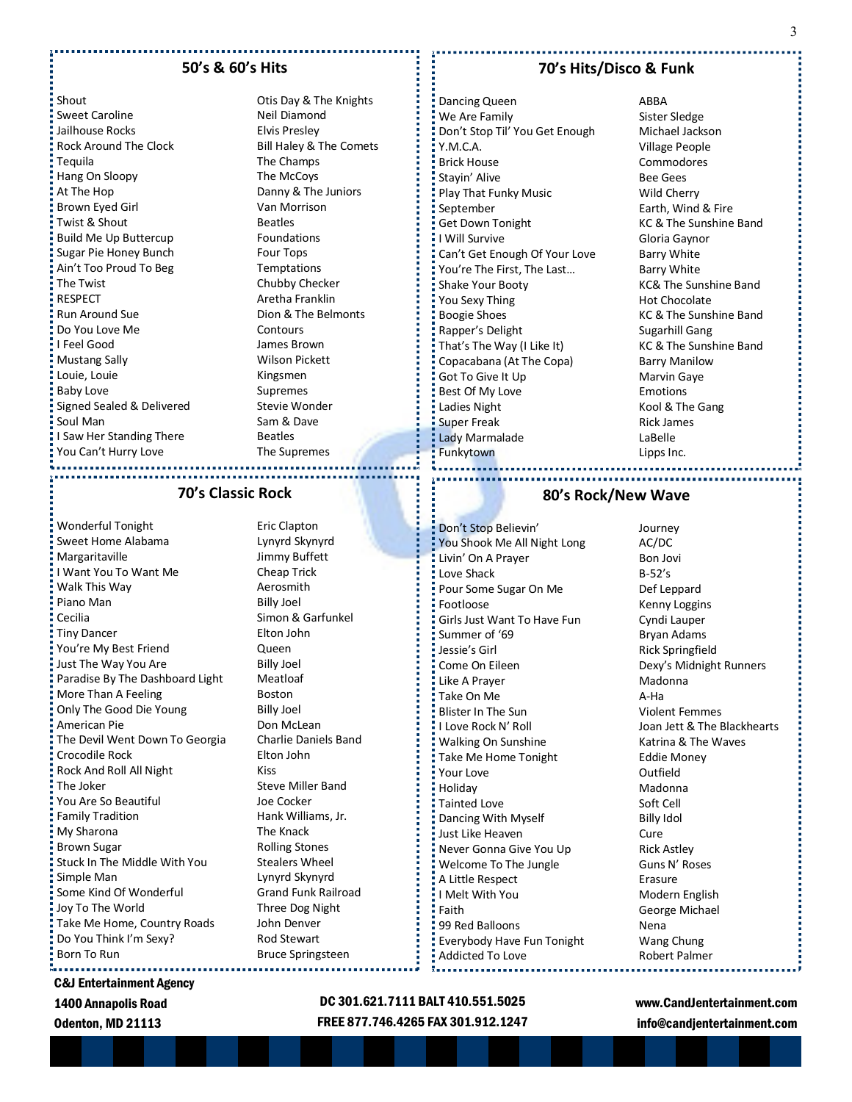#### **50's & 60's Hits**

shout Changes Court Changes Court Changes Changes Otis Day & The Knights Sweet Caroline Neil Diamond Jailhouse Rocks **Elvis Presley** Rock Around The Clock Bill Haley & The Comets Tequila The Champs Hang On Sloopy The McCoys At The Hop **Danny & The Juniors** Brown Eyed Girl Van Morrison  $\frac{1}{2}$  Twist & Shout Beatles Build Me Up Buttercup Foundations Sugar Pie Honey Bunch Four Tops Ain't Too Proud To Beg Temptations The Twist Chubby Checker RESPECT **Aretha Franklin** Run Around Sue **Dion & The Belmonts** Do You Love Me Contours I Feel Good James Brown Mustang Sally **Wilson Pickett** Louie, Louie **Kingsmen** Baby Love Supremes Signed Sealed & Delivered Stevie Wonder Soul Man Sam & Dave I Saw Her Standing There Beatles "You Can't Hurry Love The Supremes

# **70's Classic Rock**

Wonderful Tonight Eric Clapton Sweet Home Alabama<br>
Lynyrd Skynyrd Margaritaville **Margaritaville** Jimmy Buffett I Want You To Want Me Cheap Trick Walk This Way **Aerosmith** Piano Man Billy Joel Cecilia **Simon & Garfunkel** Tiny Dancer **Elton John** You're My Best Friend Cueen Just The Way You Are **Billy Joel** Paradise By The Dashboard Light Meatloaf More Than A Feeling **Boston** Only The Good Die Young Billy Joel American Pie **Don McLean** The Devil Went Down To Georgia Charlie Daniels Band Crocodile Rock Elton John Rock And Roll All Night Kiss The Joker Steve Miller Band You Are So Beautiful **Source Source Source Area** Joe Cocker Family Tradition **Family Tradition** Hank Williams, Jr. **My Sharona** The Knack Brown Sugar **Rolling Stones** Stuck In The Middle With You Stealers Wheel Simple Man Lynyrd Skynyrd Some Kind Of Wonderful Grand Funk Railroad Joy To The World Three Dog Night Take Me Home, Country Roads John Denver Do You Think I'm Sexy? Rod Stewart Born To Run Bruce Springsteen

C&J Entertainment Agency

1400 Annapolis Road

Odenton, MD 21113

# **70's Hits/Disco & Funk**

Dancing Queen ABBA We Are Family **Sister Sledge** Don't Stop Til' You Get Enough Michael Jackson Y.M.C.A. Village People Brick House **Commodores** Stayin' Alive **Bee Gees** Play That Funky Music Wild Cherry September Earth, Wind & Fire Get Down Tonight KC & The Sunshine Band I Will Survive Gloria Gaynor Can't Get Enough Of Your Love Barry White You're The First, The Last... Barry White Shake Your Booty **KC& The Sunshine Band** You Sexy Thing Hot Chocolate Boogie Shoes **KC & The Sunshine Band** Rapper's Delight Sugarhill Gang That's The Way (I Like It) KC & The Sunshine Band Copacabana (At The Copa) Barry Manilow Got To Give It Up Marvin Gaye Best Of My Love **Emotions** Ladies Night **Kool & The Gang** Super Freak Rick James Lady Marmalade LaBelle Funkytown **Lipps** Inc.

# **80's Rock/New Wave**

Don't Stop Believin' Same Management Stop Believin' Management Stop You Shook Me All Night Long AC/DC Livin' On A Prayer Bon Jovi Love Shack B-52's Pour Some Sugar On Me Def Leppard Footloose Kenny Loggins Girls Just Want To Have Fun Cyndi Lauper Summer of '69 Bryan Adams Jessie's Girl **Rick Springfield** Come On Eileen **Dexy's Midnight Runners** Like A Prayer **Madonna** Take On Me A-Ha Blister In The Sun Violent Femmes I Love Rock N' Roll **I** Joan Jett & The Blackhearts Walking On Sunshine Katrina & The Waves Take Me Home Tonight Eddie Money Prour Love **Contract Contract Contract Contract Contract Contract Contract Contract Contract Contract Contract Contract Contract Contract Contract Contract Contract Contract Contract Contract Contract Contract Contract Con** Holiday Madonna Tainted Love Soft Cell Dancing With Myself **Billy Idol** Just Like Heaven **Cure** Never Gonna Give You Up Rick Astley Welcome To The Jungle Guns N' Roses A Little Respect **Example 2 Example 2 Prasure** I Melt With You Modern English Faith **Faith** George Michael 99 Red Balloons Nena Everybody Have Fun Tonight Wang Chung Addicted To Love **Robert Palmer** 

DC 301.621.7111 BALT 410.551.5025 FREE 877.746.4265 FAX 301.912.1247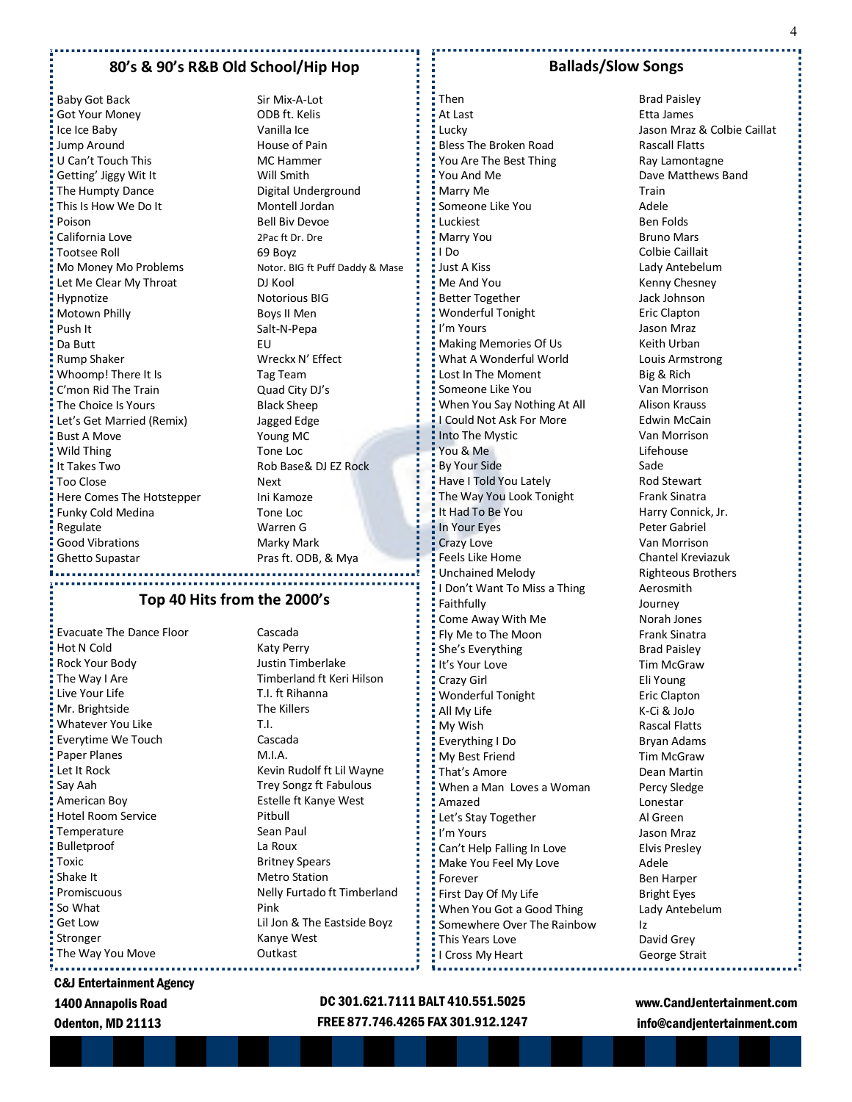### **80's & 90's R&B Old School/Hip Hop**

Baby Got Back Sir Mix-A-Lot Got Your Money **ODB** ft. Kelis Ice Ice Baby **Vanilla** Ice Jump Around **House of Pain** U Can't Touch This MC Hammer Getting' Jiggy Wit It Will Smith The Humpty Dance Digital Underground This Is How We Do It Montell Jordan Poison Bell Biv Devoe California Love 2Pac ft Dr. Dre Tootsee Roll 69 Boyz Let Me Clear My Throat DJ Kool Hypnotize Notorious BIG Motown Philly **Boys II Men** Push It Salt-N-Pepa Da Butt **EU** Rump Shaker Wreckx N' Effect Whoomp! There It Is Tag Team C'mon Rid The Train **Quad City DJ's** The Choice Is Yours **Black Sheep** Let's Get Married (Remix) Jagged Edge Bust A Move Young MC **Wild Thing Communist Communist Communist Communist Communist Communist Communist Communist Communist Communist Communist Communist Communist Communist Communist Communist Communist Communist Communist Communist Communist It Takes Two Rob Base& DJ EZ Rock** <u>Filter</u> Too Close Next Here Comes The Hotstepper Ini Kamoze Funky Cold Medina Tone Loc Regulate Warren G Good Vibrations **Marky Mark** Ghetto Supastar Pras ft. ODB, & Mya

Mo Money Mo Problems Notor. BIG ft Puff Daddy & Mase

# **Top 40 Hits from the 2000's**

Evacuate The Dance Floor Cascada Hot N Cold Katy Perry Rock Your Body Justin Timberlake The Way I Are Timberland ft Keri Hilson Live Your Life T.I. ft Rihanna Mr. Brightside The Killers Whatever You Like T.I. Everytime We Touch Cascada Paper Planes M.I.A. Say Aah Trey Songz ft Fabulous American Boy Estelle ft Kanye West Hotel Room Service **Pitbull** Temperature Sean Paul **Bulletproof** La Roux Toxic **Britney Spears** Shake It Metro Station So What **Pink** Stronger **Kanye West** The Way You Move **The Way You Move** 

Let It Rock Kevin Rudolf ft Lil Wayne Promiscuous Nelly Furtado ft Timberland **Get Low Lil Jon & The Eastside Boyz** 

#### **Ballads/Slow Songs**

At Last **Etta James** Lucky Jason Mraz & Colbie Caillat Bless The Broken Road Rascall Flatts You Are The Best Thing Ray Lamontagne You And Me **Dave Matthews Band** Marry Me Train Someone Like You **Adele** Luckiest Ben Folds Marry You **Bruno Mars** I Do Colbie Caillait Just A Kiss Lady Antebelum Me And You **Kenny Chesney** Better Together **Galactic Contract Contract Contract Contract Contract Contract Contract Contract Contract Contract Contract Contract Contract Contract Contract Contract Contract Contract Contract Contract Contract Contrac** Wonderful Tonight **Eric Clapton** I'm Yours Jason Mraz Making Memories Of Us **Keith Urban** What A Wonderful World Louis Armstrong Lost In The Moment Big & Rich Someone Like You **Van Morrison** When You Say Nothing At All Alison Krauss I Could Not Ask For More Frank Edwin McCain Into The Mystic **Van Morrison** The Lifehouse Lifehouse By Your Side Sade Have I Told You Lately **Rod Stewart** The Way You Look Tonight Frank Sinatra It Had To Be You Harry Connick, Jr. In Your Eyes **Peter Gabriel** Crazy Love Van Morrison Feels Like Home Chantel Kreviazuk Unchained Melody **Righteous Brothers** I Don't Want To Miss a Thing Aerosmith Faithfully **Faithfully Journey** Come Away With Me Norah Jones Fly Me to The Moon Frank Sinatra She's Everything Brad Paisley It's Your Love Tim McGraw Crazy Girl Eli Young Wonderful Tonight **Example 2** Eric Clapton All My Life K-Ci & JoJo My Wish **Rascal Flatts** Everything I Do Bryan Adams My Best Friend Tim McGraw That's Amore **Dean Martin** When a Man Loves a Woman Percy Sledge Amazed Lonestar Let's Stay Together **Al Green I'm Yours Communist Communist Communist Communist Communist Communist Communist Communist Communist Communist Communist Communist Communist Communist Communist Communist Communist Communist Communist Communist Communist C** Can't Help Falling In Love Elvis Presley Make You Feel My Love **Adele** Forever Ben Harper First Day Of My Life Bright Eyes When You Got a Good Thing Lady Antebelum Somewhere Over The Rainbow Iz This Years Love David Grey I Cross My Heart George Strait

**Then** Brad Paisley

C&J Entertainment Agency

1400 Annapolis Road

Odenton, MD 21113

# DC 301.621.7111 BALT 410.551.5025 FREE 877.746.4265 FAX 301.912.1247

÷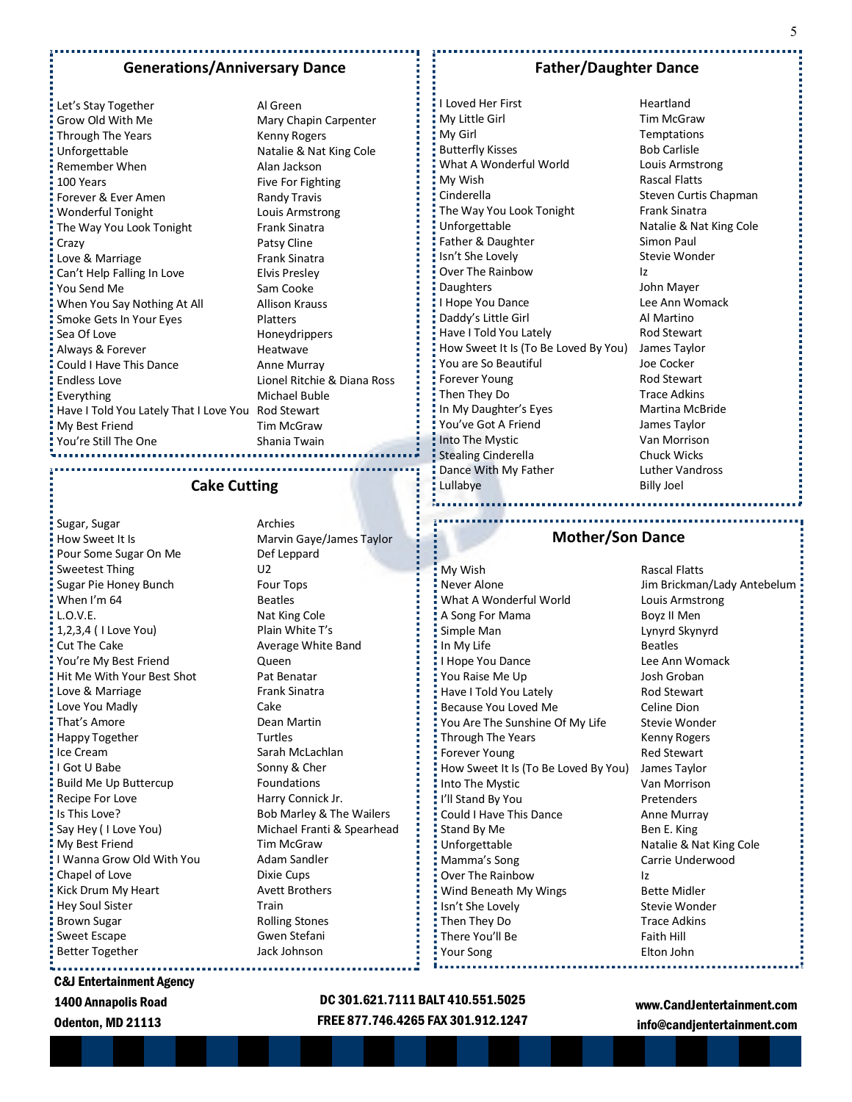#### **Generations/Anniversary Dance**

Let's Stay Together Al Green Grow Old With Me Mary Chapin Carpenter Through The Years Kenny Rogers Unforgettable Natalie & Nat King Cole Remember When Alan Jackson 100 Years Five For Fighting Forever & Ever Amen Randy Travis Wonderful Tonight Louis Armstrong The Way You Look Tonight Frank Sinatra Crazy **Patsy Cline** Love & Marriage The Contract Contract Contract Frank Sinatra Can't Help Falling In Love Elvis Presley Vou Send Me Sam Cooke **When You Say Nothing At All Mark Allison Krauss Smoke Gets In Your Eyes** Platters Sea Of Love **Honeydrippers** Always & Forever **Heatwaye** Could I Have This Dance **Anne Murray** Endless Love Lionel Ritchie & Diana Ross Everything Michael Buble Have I Told You Lately That I Love You Rod Stewart My Best Friend Tim McGraw You're Still The One Shania Twain 

#### **Cake Cutting**

Sugar, Sugar **Archies** How Sweet It Is **Marvin Gaye/James Taylor** Pour Some Sugar On Me Def Leppard Sweetest Thing U2 Sugar Pie Honey Bunch Four Tops When I'm 64 Beatles L.O.V.E. Nat King Cole 1,2,3,4 ( I Love You) Plain White T's Cut The Cake Average White Band You're My Best Friend Cueen Hit Me With Your Best Shot Pat Benatar Love & Marriage **Frank Sinatra** Love You Madly **Cake** That's Amore **Dean Martin** Happy Together Turtles Ice Cream Sarah McLachlan I Got U Babe Sonny & Cher Build Me Up Buttercup Foundations Recipe For Love Harry Connick Jr. Is This Love? Bob Marley & The Wailers My Best Friend Tim McGraw I Wanna Grow Old With You **Adam Sandler** Chapel of Love Dixie Cups Kick Drum My Heart Avett Brothers Hey Soul Sister Train Brown Sugar **Rolling Stones** Rolling Stones Sweet Escape Gwen Stefani Better Together **Jack Johnson** 

Say Hey (I Love You) Michael Franti & Spearhead

# **Father/Daughter Dance**

I Loved Her First **Heartland** My Little Girl **Tim McGraw** My Girl **Temptations** Butterfly Kisses Bob Carlisle What A Wonderful World Louis Armstrong My Wish **Rascal Flatts** Cinderella **Steven Curtis Chapman** The Way You Look Tonight Frank Sinatra Unforgettable Natalie & Nat King Cole Father & Daughter Simon Paul Isn't She Lovely **Stevie Wonder** Over The Rainbow Iz Daughters John Mayer I Hope You Dance Lee Ann Womack Daddy's Little Girl **Al Martino** Have I Told You Lately Rod Stewart How Sweet It Is (To Be Loved By You) James Taylor You are So Beautiful **Source Source Source Source Source Source Source Source Source Source Source Source Source Forever Young Communist Communist Property** Rod Stewart Then They Do Trace Adkins In My Daughter's Eyes Martina McBride You've Got A Friend James Taylor Into The Mystic **Van Morrison** Stealing Cinderella **Chuck Wicks** Dance With My Father **Luther Vandross** Lullabye Billy Joel

### . . . . . . . . . . . . . . . **Mother/Son Dance**

**E** My Wish **Rascal Flatts** \* Never Alone **Jim Brickman/Lady Antebelum** \* What A Wonderful World Louis Armstrong A Song For Mama Boyz II Men Simple Man Lynyrd Skynyrd In My Life Beatles I Hope You Dance **Lee Ann Womack** You Raise Me Up Josh Groban Have I Told You Lately Rod Stewart Because You Loved Me Celine Dion " You Are The Sunshine Of My Life Stevie Wonder Through The Years **Kenny Rogers Forever Young Communist Communist Property** Red Stewart How Sweet It Is (To Be Loved By You) James Taylor Into The Mystic Van Morrison I'll Stand By You Pretenders Could I Have This Dance **Anne Murray** Stand By Me Ben E. King Unforgettable Natalie & Nat King Cole Mamma's Song Carrie Underwood Over The Rainbow Iz **Wind Beneath My Wings** Bette Midler Isn't She Lovely Stevie Wonder Then They Do Trace Adkins  $\frac{1}{2}$  There You'll Be Faith Hill Your Song Elton John

C&J Entertainment Agency

1400 Annapolis Road

Odenton, MD 21113

DC 301.621.7111 BALT 410.551.5025 FREE 877.746.4265 FAX 301.912.1247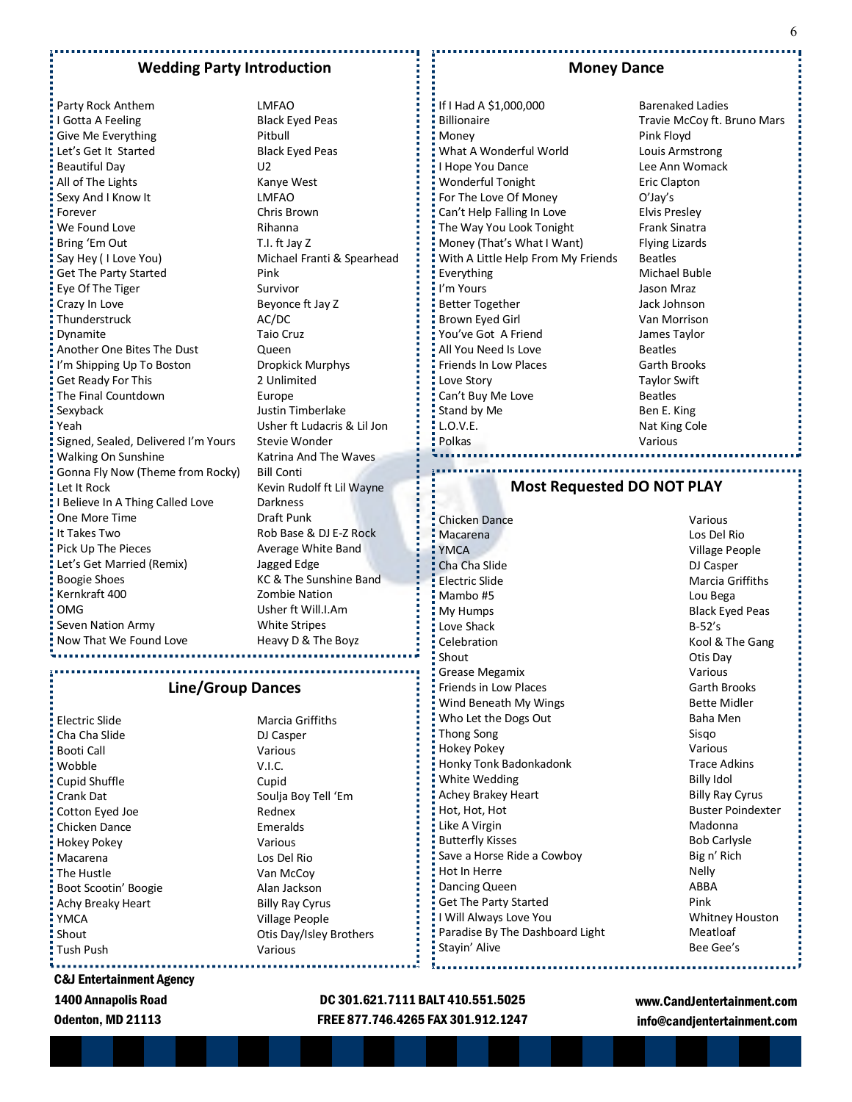#### **Wedding Party Introduction**

Party Rock Anthem LMFAO I Gotta A Feeling **Black Eyed Peas** Give Me Everything **Pitbull** Let's Get It Started Black Eyed Peas Beautiful Day **U2** All of The Lights **Kanye West** Sexy And I Know It LMFAO Forever Chris Brown We Found Love **Rihanna** Bring 'Em Out T.I. ft Jay Z Say Hey (I Love You) Michael Franti & Spearhead Get The Party Started Pink Eye Of The Tiger Survivor Crazy In Love Beyonce ft Jay Z Thunderstruck AC/DC Dynamite Taio Cruz Another One Bites The Dust **Queen** I'm Shipping Up To Boston Dropkick Murphys Get Ready For This 2 Unlimited The Final Countdown **Europe** Sexyback **Justin Timberlake** Yeah Usher ft Ludacris & Lil Jon Signed, Sealed, Delivered I'm Yours Stevie Wonder Walking On Sunshine Katrina And The Waves Gonna Fly Now (Theme from Rocky) Bill Conti Let It Rock **Kevin Rudolf ft Lil Wayne** I Believe In A Thing Called Love Darkness One More Time **Draft Punk** It Takes Two **Rob Base & DJ E-Z Rock** Pick Up The Pieces Average White Band Let's Get Married (Remix) Jagged Edge Boogie Shoes **KC & The Sunshine Band** Kernkraft 400 **Zombie Nation** OMG Usher ft Will.I.Am Seven Nation Army White Stripes Now That We Found Love Heavy D & The Boyz

### **Line/Group Dances**

Electric Slide Marcia Griffiths Cha Cha Slide DJ Casper Booti Call **Valley Strategy** Various Wobble V.I.C. Cupid Shuffle **Cupid** Cupid Crank Dat **Soulja Boy Tell 'Em** Cotton Eyed Joe Rednex Chicken Dance Emeralds Hokey Pokey Various Macarena Los Del Rio The Hustle **Van McCoy** Boot Scootin' Boogie **Alan Jackson** Achy Breaky Heart Billy Ray Cyrus YMCA Village People Tush Push Various

shout Chamber County County Communist Changes Otis Day/Isley Brothers

DC 301.621.7111 BALT 410.551.5025 FREE 877.746.4265 FAX 301.912.1247

#### **Money Dance**

Billionaire **Travie McCoy ft. Bruno Mars** Money **Pink Floyd** What A Wonderful World **Louis Armstrong** I Hope You Dance Lee Ann Womack Wonderful Tonight **Example 2** Eric Clapton For The Love Of Money **O'Jay's** Can't Help Falling In Love Elvis Presley The Way You Look Tonight Frank Sinatra Money (That's What I Want) Flying Lizards With A Little Help From My Friends Beatles Everything Michael Buble I'm Yours Jason Mraz Better Together **Jack Johnson** Brown Eyed Girl Van Morrison You've Got A Friend James Taylor All You Need Is Love **Beatles** Friends In Low Places Garth Brooks Love Story **Taylor Swift** Can't Buy Me Love **Beatles** Stand by Me Ben E. King L.O.V.E. Nat King Cole Polkas **Various** 

If I Had A \$1,000,000 Barenaked Ladies

# **Most Requested DO NOT PLAY**

Chicken Dance Various Macarena Los Del Rio YMCA Village People Cha Cha Slide DJ Casper Electric Slide **Marcia Griffiths** Mambo #5 Lou Bega My Humps Black Eyed Peas Love Shack B-52's Celebration **Celebration** Celebration **Celebration Kool & The Gang** Shout **Contract Contract Contract Contract Contract Contract Contract Contract Contract Contract Contract Contract Contract Contract Contract Contract Contract Contract Contract Contract Contract Contract Contract Contract** Grease Megamix **Value 2018** Friends in Low Places Garth Brooks Wind Beneath My Wings **Bette Midler** Bette Midler Who Let the Dogs Out Baha Men Thong Song Sisqo Sisqo Hokey Pokey Various Honky Tonk Badonkadonk<br>
Trace Adkins White Wedding **Billy Idol** Achey Brakey Heart **Billy Ray Cyrus** Billy Ray Cyrus Hot, Hot, Hot Buster Poindexter Like A Virgin **Madonna** Madonna Butterfly Kisses **Butterfly Kisses** Bob Carlysle Save a Horse Ride a Cowboy Big n' Rich Hot In Herre Nelly Dancing Queen ABBA Get The Party Started **Pink** I Will Always Love You New Your Whitney Houston Paradise By The Dashboard Light Meatloaf Stayin' Alive **Bee Gee's** 

www.CandJentertainment.com info@candjentertainment.com

# Odenton, MD 21113

C&J Entertainment Agency 1400 Annapolis Road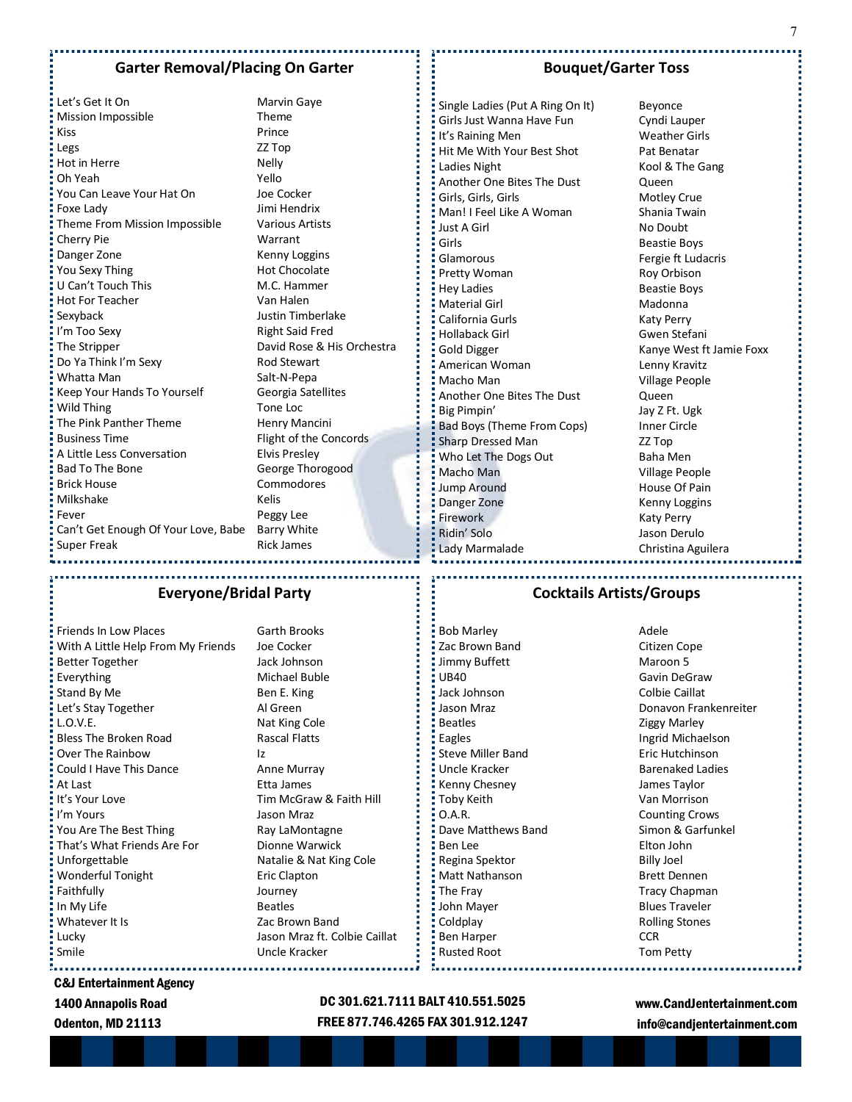# **Garter Removal/Placing On Garter**

Let's Get It On Marvin Gaye Mission Impossible Theme Kiss Prince Legs ZZ Top Hot in Herre Nelly Oh Yeah Yello You Can Leave Your Hat On Joe Cocker Foxe Lady Jimi Hendrix Theme From Mission Impossible Various Artists Cherry Pie Warrant Danger Zone **Kenny Loggins** You Sexy Thing Hot Chocolate U Can't Touch This M.C. Hammer Hot For Teacher Van Halen Sexyback Justin Timberlake I'm Too Sexy Right Said Fred The Stripper David Rose & His Orchestra Do Ya Think I'm Sexy Rod Stewart Whatta Man Salt-N-Pepa Keep Your Hands To Yourself Georgia Satellites Wild Thing Tone Loc  $\frac{1}{2}$  The Pink Panther Theme  $\frac{1}{2}$  Henry Mancini Business Time Flight of the Concords A Little Less Conversation Elvis Presley Bad To The Bone George Thorogood Brick House Commodores Milkshake Kelis Fever **Peggy** Lee Can't Get Enough Of Your Love, Babe Barry White Super Freak Rick James

# **Bouquet/Garter Toss**

Single Ladies (Put A Ring On It) Beyonce Girls Just Wanna Have Fun Cyndi Lauper It's Raining Men Weather Girls Hit Me With Your Best Shot Pat Benatar Ladies Night **Kool & The Gang** Another One Bites The Dust **Queen** Girls, Girls, Girls Motley Crue Man! I Feel Like A Woman Shania Twain Just A Girl No Doubt Girls **Girls** Beastie Boys Glamorous **Fergie ft Ludacris** Pretty Woman Roy Orbison **Example 2** Hey Ladies **Beastie Boys** ł Material Girl **Material Girl** Madonna California Gurls **Katy Perry** Hollaback Girl Gwen Stefani Gold Digger **Kanye West ft Jamie Foxx** American Woman Lenny Kravitz Macho Man Village People Another One Bites The Dust **Queen** Big Pimpin' Jay Z Ft. Ugk Bad Boys (Theme From Cops) Inner Circle Sharp Dressed Man ZZ Top Who Let The Dogs Out Baha Men Macho Man **Village People** Jump Around **House Of Pain** Danger Zone **Kenny Loggins** Firework **Katy Perry** Katy Perry Ridin' Solo **Galactic Contract Contract Contract Contract Contract Contract Contract Contract Contract Contract Contract Contract Contract Contract Contract Contract Contract Contract Contract Contract Contract Contract Co** Lady Marmalade **Christina Aguilera** 

# **Everyone/Bridal Party**

Friends In Low Places Garth Brooks With A Little Help From My Friends Joe Cocker Better Together **Jack Johnson** Everything Michael Buble Stand By Me Ben E. King Let's Stay Together Al Green L.O.V.E. Nat King Cole Bless The Broken Road **Rascal Flatts** Over The Rainbow Iz Could I Have This Dance **Anne Murray** At Last **Etta James It's Your Love Communist Communist Communist Communist Communist Communist Communist Communist Communist Communist Communist Communist Communist Communist Communist Communist Communist Communist Communist Communist Commun** I'm Yours Jason Mraz You Are The Best Thing Ray LaMontagne That's What Friends Are For **Dionne Warwick** Unforgettable Natalie & Nat King Cole Wonderful Tonight **Example 2** Eric Clapton Faithfully Journey In My Life Beatles **Whatever It Is Example 2** 2ac Brown Band Lucky Jason Mraz ft. Colbie Caillat Smile Uncle Kracker

#### **Cocktails Artists/Groups**

Bob Marley **Adele** Zac Brown Band Citizen Cope Jimmy Buffett Maroon 5 UB40 Gavin DeGraw **Jack Johnson** Colbie Caillat Jason Mraz **Donavon Frankenreiter** Beatles **Example 2** 2iggy Marley Eagles **Ingrid Michaelson** Steve Miller Band **Eric Hutchinson** Uncle Kracker Barenaked Ladies Kenny Chesney James Taylor Toby Keith Van Morrison O.A.R. Counting Crows Dave Matthews Band Simon & Garfunkel Ben Lee Elton John Regina Spektor Billy Joel Matt Nathanson Brett Dennen The Fray The Fracy Chapman John Mayer **Blues Traveler** Coldplay Rolling Stones Ben Harper CCR Rusted Root Tom Petty

# C&J Entertainment Agency

1400 Annapolis Road

Odenton, MD 21113

# DC 301.621.7111 BALT 410.551.5025 FREE 877.746.4265 FAX 301.912.1247